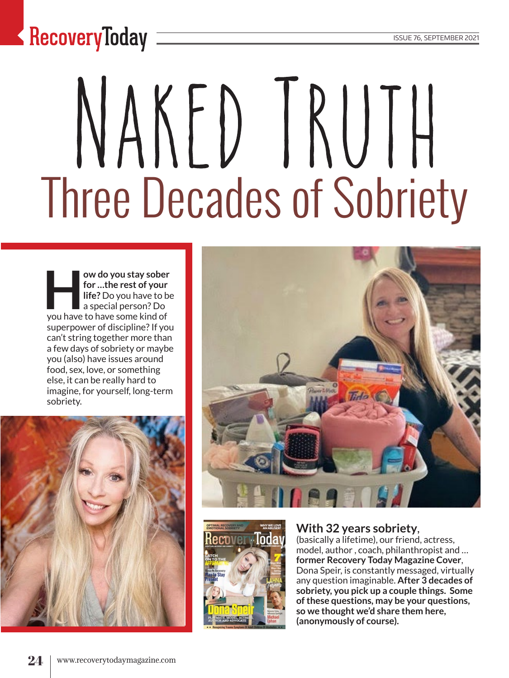### $\blacktriangle$  RecoveryToday  $\equiv$

# NAKED IRUTH Three Decades of Sobriety

**How do you stay sober for …the rest of your life?** Do you have to be a special person? Do you have to have some kind of superpower of discipline? If you can't string together more than a few days of sobriety or maybe you (also) have issues around food, sex, love, or something else, it can be really hard to imagine, for yourself, long-term sobriety.





#### **With 32 years sobriety**,

(basically a lifetime), our friend, actress, model, author , coach, philanthropist and … **former Recovery Today Magazine Cover**, Dona Speir, is constantly messaged, virtually any question imaginable. **After 3 decades of sobriety, you pick up a couple things. Some of these questions, may be your questions, so we thought we'd share them here, (anonymously of course).**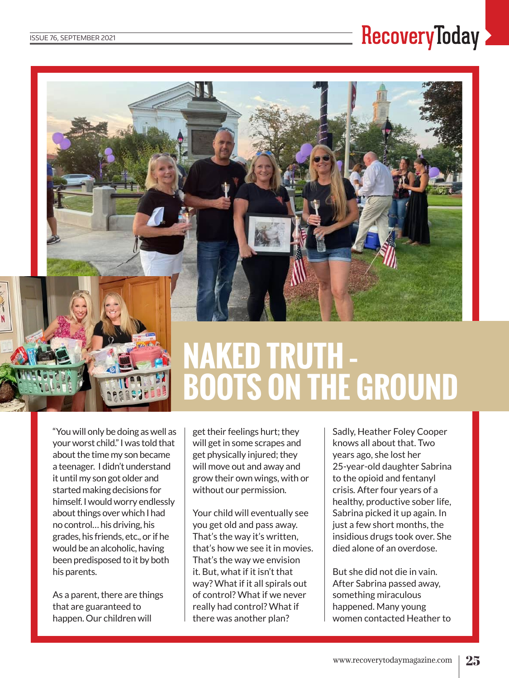#### **RecoveryToday**



## **Naked Truth – Boots on the Ground**

"You will only be doing as well as your worst child." I was told that about the time my son became a teenager. I didn't understand it until my son got older and started making decisions for himself. I would worry endlessly about things over which I had no control… his driving, his grades, his friends, etc., or if he would be an alcoholic, having been predisposed to it by both his parents.

As a parent, there are things that are guaranteed to happen. Our children will

get their feelings hurt; they will get in some scrapes and get physically injured; they will move out and away and grow their own wings, with or without our permission.

Your child will eventually see you get old and pass away. That's the way it's written, that's how we see it in movies. That's the way we envision it. But, what if it isn't that way? What if it all spirals out of control? What if we never really had control? What if there was another plan?

Sadly, Heather Foley Cooper knows all about that. Two years ago, she lost her 25-year-old daughter Sabrina to the opioid and fentanyl crisis*.* After four years of a healthy, productive sober life, Sabrina picked it up again. In just a few short months, the insidious drugs took over. She died alone of an overdose.

But she did not die in vain. After Sabrina passed away, something miraculous happened. Many young women contacted Heather to